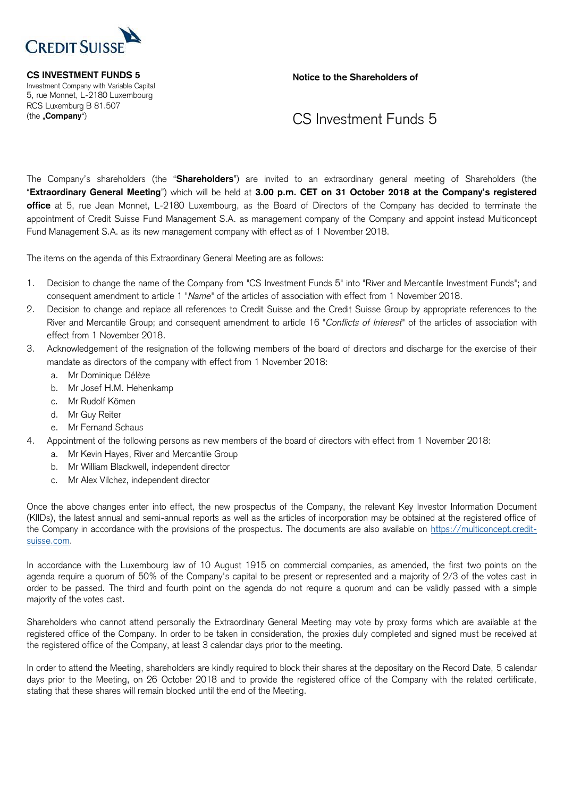

## **CS INVESTMENT FUNDS 5**

Investment Company with Variable Capital 5, rue Monnet, L-2180 Luxembourg RCS Luxemburg B 81.507 (the "**Company**")

**Notice to the Shareholders of**

## CS Investment Funds 5

The Company's shareholders (the "**Shareholders**") are invited to an extraordinary general meeting of Shareholders (the "**Extraordinary General Meeting**") which will be held at **3.00 p.m. CET on 31 October 2018 at the Company's registered office** at 5, rue Jean Monnet, L-2180 Luxembourg, as the Board of Directors of the Company has decided to terminate the appointment of Credit Suisse Fund Management S.A. as management company of the Company and appoint instead Multiconcept Fund Management S.A. as its new management company with effect as of 1 November 2018.

The items on the agenda of this Extraordinary General Meeting are as follows:

- 1. Decision to change the name of the Company from "CS Investment Funds 5" into "River and Mercantile Investment Funds"; and consequent amendment to article 1 "*Name*" of the articles of association with effect from 1 November 2018.
- 2. Decision to change and replace all references to Credit Suisse and the Credit Suisse Group by appropriate references to the River and Mercantile Group; and consequent amendment to article 16 "*Conflicts of Interest*" of the articles of association with effect from 1 November 2018.
- 3. Acknowledgement of the resignation of the following members of the board of directors and discharge for the exercise of their mandate as directors of the company with effect from 1 November 2018:
	- a. Mr Dominique Délèze
	- b. Mr Josef H.M. Hehenkamp
	- c. Mr Rudolf Kömen
	- d. Mr Guy Reiter
	- e. Mr Fernand Schaus
- 4. Appointment of the following persons as new members of the board of directors with effect from 1 November 2018:
	- a. Mr Kevin Hayes, River and Mercantile Group
	- b. Mr William Blackwell, independent director
	- c. Mr Alex Vilchez, independent director

Once the above changes enter into effect, the new prospectus of the Company, the relevant Key Investor Information Document (KIIDs), the latest annual and semi-annual reports as well as the articles of incorporation may be obtained at the registered office of the Company in accordance with the provisions of the prospectus. The documents are also available on https://multiconcept.creditsuisse.com.

In accordance with the Luxembourg law of 10 August 1915 on commercial companies, as amended, the first two points on the agenda require a quorum of 50% of the Company's capital to be present or represented and a majority of 2/3 of the votes cast in order to be passed. The third and fourth point on the agenda do not require a quorum and can be validly passed with a simple majority of the votes cast.

Shareholders who cannot attend personally the Extraordinary General Meeting may vote by proxy forms which are available at the registered office of the Company. In order to be taken in consideration, the proxies duly completed and signed must be received at the registered office of the Company, at least 3 calendar days prior to the meeting.

In order to attend the Meeting, shareholders are kindly required to block their shares at the depositary on the Record Date, 5 calendar days prior to the Meeting, on 26 October 2018 and to provide the registered office of the Company with the related certificate, stating that these shares will remain blocked until the end of the Meeting.